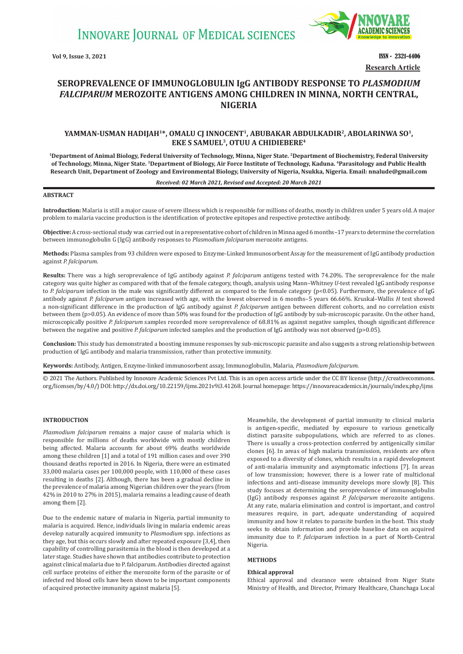**INNOVARE JOURNAL OF MEDICAL SCIENCES** 



**Vol 9, Issue 3, 2021 ISSN - 2321-4406 Research Article**

# **SEROPREVALENCE OF IMMUNOGLOBULIN IgG ANTIBODY RESPONSE TO** *PLASMODIUM FALCIPARUM* **MEROZOITE ANTIGENS AMONG CHILDREN IN MINNA, NORTH CENTRAL, NIGERIA**

## YAMMAN-USMAN HADIJAH<sup>1\*</sup>, OMALU CJ INNOCENT<sup>1</sup>, ABUBAKAR ABDULKADIR<sup>2</sup>, ABOLARINWA SO<sup>1</sup>, **EKE S SAMUEL3, OTUU A CHIDIEBERE4**

**1Department of Animal Biology, Federal University of Technology, Minna, Niger State. 2Department of Biochemistry, Federal University of Technology, Minna, Niger State. 3Department of Biology, Air Force Institute of Technology, Kaduna. 4Parasitology and Public Health Research Unit, Department of Zoology and Environmental Biology, University of Nigeria, Nsukka, Nigeria. Email: nnalude@gmail.com**

## *Received: 02 March 2021, Revised and Accepted: 20 March 2021*

## **ABSTRACT**

**Introduction:** Malaria is still a major cause of severe illness which is responsible for millions of deaths, mostly in children under 5 years old. A major problem to malaria vaccine production is the identification of protective epitopes and respective protective antibody.

**Objective:** A cross-sectional study was carried out in a representative cohort of children in Minna aged 6 months–17 years to determine the correlation between immunoglobulin G (IgG) antibody responses to *Plasmodium falciparum* merozoite antigens.

**Methods:** Plasma samples from 93 children were exposed to Enzyme-Linked Immunosorbent Assay for the measurement of IgG antibody production against *P. falciparum.*

**Results:** There was a high seroprevalence of IgG antibody against *P. falciparum* antigens tested with 74.20%. The seroprevalence for the male category was quite higher as compared with that of the female category, though, analysis using Mann–Whitney *U-*test revealed IgG antibody response to *P. falciparum* infection in the male was significantly different as compared to the female category (p<0.05). Furthermore, the prevalence of IgG antibody against *P. falciparum* antigen increased with age, with the lowest observed in 6 months–5 years 66.66%. Kruskal–Wallis *H* test showed a non-significant difference in the production of IgG antibody against *P. falciparum* antigen between different cohorts, and no correlation exists between them (p>0.05). An evidence of more than 50% was found for the production of IgG antibody by sub-microscopic parasite. On the other hand, microscopically positive *P. falciparum* samples recorded more seroprevalence of 68.81% as against negative samples, though significant difference between the negative and positive *P. falciparum* infected samples and the production of IgG antibody was not observed (p>0.05).

**Conclusion:** This study has demonstrated a boosting immune responses by sub-microscopic parasite and also suggests a strong relationship between production of IgG antibody and malaria transmission, rather than protective immunity.

**Keywords:** Antibody, Antigen, Enzyme-linked immunosorbent assay, Immunoglobulin, Malaria, *Plasmodium falciparum*.

© 2021 The Authors. Published by Innovare Academic Sciences Pvt Ltd. This is an open access article under the CC BY license (http://creativecommons. org/licenses/by/4.0/) DOI: http://dx.doi.org/10.22159/ijms.2021v9i3.41268. Journal homepage: https://innovareacademics.in/journals/index.php/ijms

### **INTRODUCTION**

*Plasmodium falciparum* remains a major cause of malaria which is responsible for millions of deaths worldwide with mostly children being affected. Malaria accounts for about 69% deaths worldwide among these children [1] and a total of 191 million cases and over 390 thousand deaths reported in 2016. In Nigeria, there were an estimated 33,000 malaria cases per 100,000 people, with 110,000 of these cases resulting in deaths [2]. Although, there has been a gradual decline in the prevalence of malaria among Nigerian children over the years (from 42% in 2010 to 27% in 2015), malaria remains a leading cause of death among them [2].

Due to the endemic nature of malaria in Nigeria, partial immunity to malaria is acquired. Hence, individuals living in malaria endemic areas develop naturally acquired immunity to *Plasmodium* spp. infections as they age, but this occurs slowly and after repeated exposure [3,4], then capability of controlling parasitemia in the blood is then developed at a later stage. Studies have shown that antibodies contribute to protection against clinical malaria due to P. falciparum. Antibodies directed against cell surface proteins of either the merozoite form of the parasite or of infected red blood cells have been shown to be important components of acquired protective immunity against malaria [5].

Meanwhile, the development of partial immunity to clinical malaria is antigen-specific, mediated by exposure to various genetically distinct parasite subpopulations, which are referred to as clones. There is usually a cross-protection conferred by antigenically similar clones [6]. In areas of high malaria transmission, residents are often exposed to a diversity of clones, which results in a rapid development of anti-malaria immunity and asymptomatic infections [7]. In areas of low transmission; however, there is a lower rate of multiclonal infections and anti-disease immunity develops more slowly [8]. This study focuses at determining the seroprevalence of immunoglobulin (IgG) antibody responses against *P. falciparum* merozoite antigens. At any rate, malaria elimination and control is important, and control measures require, in part, adequate understanding of acquired immunity and how it relates to parasite burden in the host. This study seeks to obtain information and provide baseline data on acquired immunity due to P. *falciparum* infection in a part of North-Central Nigeria.

#### **METHODS**

#### **Ethical approval**

Ethical approval and clearance were obtained from Niger State Ministry of Health, and Director, Primary Healthcare, Chanchaga Local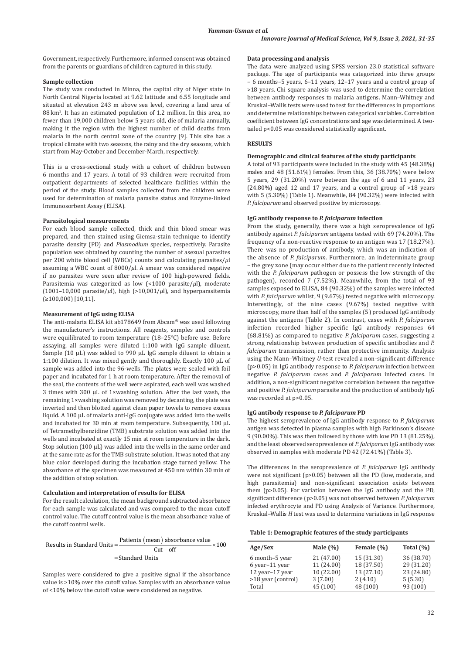Government, respectively. Furthermore, informed consent was obtained from the parents or guardians of children captured in this study.

## **Sample collection**

The study was conducted in Minna, the capital city of Niger state in North Central Nigeria located at 9.62 latitude and 6.55 longitude and situated at elevation 243 m above sea level, covering a land area of 88 km<sup>2</sup> . It has an estimated population of 1.2 million. In this area, no fewer than 19,000 children below 5 years old, die of malaria annually, making it the region with the highest number of child deaths from malaria in the north central zone of the country [9]. This site has a tropical climate with two seasons, the rainy and the dry seasons, which start from May-October and December-March, respectively.

This is a cross-sectional study with a cohort of children between 6 months and 17 years. A total of 93 children were recruited from outpatient departments of selected healthcare facilities within the period of the study. Blood samples collected from the children were used for determination of malaria parasite status and Enzyme-linked Immunosorbent Assay (ELISA).

### **Parasitological measurements**

For each blood sample collected, thick and thin blood smear was prepared, and then stained using Giemsa-stain technique to identify parasite density (PD) and *Plasmodium* species, respectively. Parasite population was obtained by counting the number of asexual parasites per 200 white blood cell (WBCs) counts and calculating parasites/*μ*l assuming a WBC count of 8000/*μ*l. A smear was considered negative if no parasites were seen after review of 100 high-powered fields. Parasitemia was categorized as low (<1000 parasite/*μ*l), moderate (1001–10,000 parasite/*μ*l), high (>10,001/*μ*l), and hyperparasitemia (≥100,000) [10,11].

### **Measurement of IgG using ELISA**

The anti-malaria ELISA kit ab178649 from Abcam® was used following the manufacturer's instructions. All reagents, samples and controls were equilibrated to room temperature (18–25°C) before use. Before assaying, all samples were diluted 1:100 with IgG sample diluent. Sample (10 µL) was added to 990 µL IgG sample diluent to obtain a 1:100 dilution. It was mixed gently and thoroughly. Exactly 100 μL of sample was added into the 96-wells. The plates were sealed with foil paper and incubated for 1 h at room temperature. After the removal of the seal, the contents of the well were aspirated, each well was washed 3 times with 300 µL of 1×washing solution. After the last wash, the remaining 1×washing solution was removed by decanting, the plate was inverted and then blotted against clean paper towels to remove excess liquid. A 100 µL of malaria anti-IgG conjugate was added into the wells and incubated for 30 min at room temperature. Subsequently, 100 µL of Tetramethylbenzidine (TMB) substrate solution was added into the wells and incubated at exactly 15 min at room temperature in the dark. Stop solution  $(100 \mu L)$  was added into the wells in the same order and at the same rate as for the TMB substrate solution. It was noted that any blue color developed during the incubation stage turned yellow. The absorbance of the specimen was measured at 450 nm within 30 min of the addition of stop solution.

## **Calculation and interpretation of results for ELISA**

For the result calculation, the mean background subtracted absorbance for each sample was calculated and was compared to the mean cutoff control value. The cutoff control value is the mean absorbance value of the cutoff control wells.

Results in Standard Units = 
$$
\frac{\text{Patients (mean) absorbance value}}{\text{Cut-off}} \times 100
$$

$$
= \text{Standard Units}
$$

Samples were considered to give a positive signal if the absorbance value is >10% over the cutoff value. Samples with an absorbance value of <10% below the cutoff value were considered as negative.

### **Data processing and analysis**

The data were analyzed using SPSS version 23.0 statistical software package. The age of participants was categorized into three groups – 6 months–5 years, 6–11 years, 12–17 years and a control group of >18 years. Chi square analysis was used to determine the correlation between antibody responses to malaria antigens. Mann–Whitney and Kruskal–Wallis tests were used to test for the differences in proportions and determine relationships between categorical variables. Correlation coefficient between IgG concentrations and age was determined. A twotailed p<0.05 was considered statistically significant.

## **RESULTS**

#### **Demographic and clinical features of the study participants**

A total of 93 participants were included in the study with 45 (48.38%) males and 48 (51.61%) females. From this, 36 (38.70%) were below 5 years, 29 (31.20%) were between the age of 6 and 11 years, 23 (24.80%) aged 12 and 17 years, and a control group of >18 years with 5 (5.30%) (Table 1). Meanwhile, 84 (90.32%) were infected with *P. falciparum* and observed positive by microscopy.

## **IgG antibody response to** *P. falciparum* **infection**

From the study, generally, there was a high seroprevalence of IgG antibody against *P. falciparum* antigens tested with 69 (74.20%). The frequency of a non-reactive response to an antigen was 17 (18.27%). There was no production of antibody, which was an indication of the absence of *P. falciparum*. Furthermore, an indeterminate group – the grey zone (may occur either due to the patient recently infected with the *P. falciparum* pathogen or possess the low strength of the pathogen), recorded 7 (7.52%). Meanwhile, from the total of 93 samples exposed to ELISA, 84 (90.32%) of the samples were infected with *P. falciparum* whilst, 9 (9.67%) tested negative with microscopy. Interestingly, of the nine cases (9.67%) tested negative with microscopy, more than half of the samples (5) produced IgG antibody against the antigens (Table 2). In contrast, cases with *P. falciparum* infection recorded higher specific IgG antibody responses 64 (68.81%) as compared to negative *P. falciparum* cases, suggesting a strong relationship between production of specific antibodies and *P. falciparum* transmission, rather than protective immunity. Analysis using the Mann–Whitney *U-*test revealed a non-significant difference (p>0.05) in IgG antibody response to *P. falciparum* infection between negative *P. falciparum* cases and *P. falciparum* infected cases. In addition, a non-significant negative correlation between the negative and positive *P. falciparum* parasite and the production of antibody IgG was recorded at p>0.05.

## **IgG antibody response to** *P. falciparum* **PD**

The highest seroprevalence of IgG antibody response to *P. falciparum*  antigen was detected in plasma samples with high Parkinson's disease 9 (90.00%). This was then followed by those with low PD 13 (81.25%), and the least observed seroprevalence of *P. falciparum* IgG antibody was observed in samples with moderate PD 42 (72.41%) (Table 3).

The differences in the seroprevalence of *P. falciparum* IgG antibody were not significant (p>0.05) between all the PD (low, moderate, and high parasitemia) and non-significant association exists between them (p>0.05). For variation between the IgG antibody and the PD, significant difference (p>0.05) was not observed between *P. falciparum* infected erythrocyte and PD using Analysis of Variance. Furthermore, Kruskal–Wallis *H* test was used to determine variations in IgG response

## **Table 1: Demographic features of the study participants**

| Age/Sex            | Male $(\%)$ | Female (%) | Total $(\% )$ |
|--------------------|-------------|------------|---------------|
| 6 month-5 year     | 21 (47.00)  | 15 (31.30) | 36 (38.70)    |
| 6 year-11 year     | 11 (24.00)  | 18 (37.50) | 29 (31.20)    |
| 12 year-17 year    | 10(22.00)   | 13 (27.10) | 23 (24.80)    |
| >18 year (control) | 3(7.00)     | 2(4.10)    | 5(5.30)       |
| Total              | 45(100)     | 48 (100)   | 93 (100)      |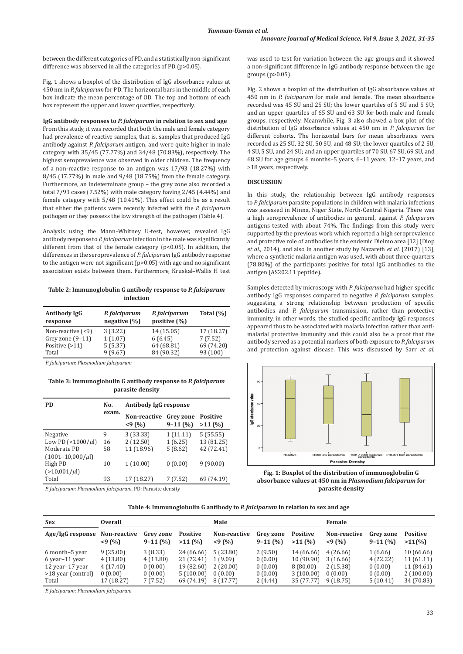between the different categories of PD, and a statistically non-significant difference was observed in all the categories of PD (p>0.05).

Fig. 1 shows a boxplot of the distribution of IgG absorbance values at 450 nm in *P. falciparum* for PD. The horizontal bars in the middle of each box indicate the mean percentage of OD. The top and bottom of each box represent the upper and lower quartiles, respectively.

### **IgG antibody responses to** *P. falciparum* **in relation to sex and age**

From this study, it was recorded that both the male and female category had prevalence of reactive samples, that is, samples that produced IgG antibody against *P. falciparum* antigen, and were quite higher in male category with 35/45 (77.77%) and 34/48 (70.83%), respectively. The highest seroprevalence was observed in older children. The frequency of a non-reactive response to an antigen was 17/93 (18.27%) with 8/45 (17.77%) in male and 9/48 (18.75%) from the female category. Furthermore, an indeterminate group – the grey zone also recorded a total 7/93 cases (7.52%) with male category having 2/45 (4.44%) and female category with 5/48 (10.41%). This effect could be as a result that either the patients were recently infected with the *P. falciparum* pathogen or they possess the low strength of the pathogen (Table 4)*.*

Analysis using the Mann–Whitney U-test, however, revealed IgG antibody response to *P. falciparum* infection in the male was significantly different from that of the female category (p<0.05). In addition, the differences in the seroprevalence of *P. falciparum* IgG antibody response to the antigen were not significant (p>0.05) with age and no significant association exists between them. Furthermore, Kruskal–Wallis H test

**Table 2: Immunoglobulin G antibody response to** *P. falciparum*  **infection**

| Antibody IgG<br>response | P. falciparum<br>negative $(\% )$ | P. falciparum<br>positive (%) | Total $(\% )$ |  |
|--------------------------|-----------------------------------|-------------------------------|---------------|--|
| Non-reactive $($         | 3(3.22)                           | 14 (15.05)                    | 17 (18.27)    |  |
| Grey zone $(9-11)$       | 1(1.07)                           | 6(6.45)                       | 7(7.52)       |  |
| Positive $(>11)$         | 5(5.37)                           | 64 (68.81)                    | 69 (74.20)    |  |
| Total                    | 9(9.67)                           | 84 (90.32)                    | 93 (100)      |  |

*P. falciparum*: *Plasmodium falciparum* 

**Table 3: Immunoglobulin G antibody response to** *P. falciparum*  **parasite density**

| PD                               | No.   | Antibody IgG response |                        |                           |  |
|----------------------------------|-------|-----------------------|------------------------|---------------------------|--|
|                                  | exam. | Non-reactive<br>< 9(% | Grey zone<br>$9-11(%)$ | <b>Positive</b><br>>11(%) |  |
| Negative                         | 9     | 3 (33.33)             | 1(11.11)               | 5(55.55)                  |  |
| Low PD $\left($ < 1000/ $\mu$ l) | 16    | 2(12.50)              | 1(6.25)                | 13 (81.25)                |  |
| Moderate PD                      | 58    | 11 (18.96)            | 5(8.62)                | 42 (72.41)                |  |
| $(1001 - 10,000/\mu I)$          |       |                       |                        |                           |  |
| High PD                          | 10    | 1(10.00)              | 0(0.00)                | 9(90.00)                  |  |
| $(>10,001/\mu l)$                |       |                       |                        |                           |  |
| Total                            | 93    | 17 (18.27)            | 7(7.52)                | 69 (74.19)                |  |
|                                  |       |                       |                        |                           |  |

*P. falciparum*: *Plasmodium falciparum,* PD: Parasite density

was used to test for variation between the age groups and it showed a non-significant difference in IgG antibody response between the age groups (p>0.05).

Fig. 2 shows a boxplot of the distribution of IgG absorbance values at 450 nm in *P. falciparum* for male and female. The mean absorbance recorded was 45 SU and 25 SU; the lower quartiles of 5 SU and 5 SU; and an upper quartiles of 65 SU and 63 SU for both male and female groups, respectively. Meanwhile, Fig. 3 also showed a box plot of the distribution of IgG absorbance values at 450 nm in *P. falciparum* for different cohorts. The horizontal bars for mean absorbance were recorded as 25 SU, 32 SU, 50 SU, and 48 SU; the lower quartiles of 2 SU, 4 SU, 5 SU, and 24 SU; and an upper quartiles of 70 SU, 67 SU, 69 SU, and 68 SU for age groups 6 months–5 years, 6–11 years, 12–17 years, and >18 years, respectively.

## **DISCUSSION**

In this study, the relationship between IgG antibody responses to *P. falciparum* parasite populations in children with malaria infections was assessed in Minna, Niger State, North-Central Nigeria. There was a high seroprevalence of antibodies in general, against *P. falciparum* antigens tested with about 74%. The findings from this study were supported by the previous work which reported a high seroprevalence and protective role of antibodies in the endemic Dielmo area [12] (Diop *et al.,* 2014), and also in another study by Nazareth *et al.* (2017) [13], where a synthetic malaria antigen was used, with about three-quarters (78.80%) of the participants positive for total IgG antibodies to the antigen (AS202.11 peptide).

Samples detected by microscopy with *P. falciparum* had higher specific antibody IgG responses compared to negative *P. falciparum* samples, suggesting a strong relationship between production of specific antibodies and *P. falciparum* transmission, rather than protective immunity, in other words, the studied specific antibody IgG responses appeared thus to be associated with malaria infection rather than antimalarial protective immunity and this could also be a proof that the antibody served as a potential markers of both exposure to *P. falciparum* and protection against disease. This was discussed by Sarr *et al.*



**Fig. 1: Boxplot of the distribution of immunoglobulin G absorbance values at 450 nm in** *Plasmodium falciparum* **for parasite density**

| <b>Sex</b>         | <b>Overall</b>            |                               |                           | Male                         |                        |                           | Female                |                        |                           |
|--------------------|---------------------------|-------------------------------|---------------------------|------------------------------|------------------------|---------------------------|-----------------------|------------------------|---------------------------|
| Age/IgG response   | Non-reactive<br>$<$ 9 (%) | <b>Grey zone</b><br>$9-11(%)$ | <b>Positive</b><br>>11(%) | <b>Non-reactive</b><br>< 9(% | Grey zone<br>$9-11(%)$ | <b>Positive</b><br>>11(%) | Non-reactive<br>< 9(% | Grey zone<br>$9-11(%)$ | <b>Positive</b><br>>11(%) |
| 6 month-5 year     | 9(25.00)                  | 3 (8.33)                      | 24 (66.66)                | 5(23.80)                     | 2(9.50)                | 14 (66.66)                | 4(26.66)              | 1(6.66)                | 10 (66.66)                |
| 6 year-11 year     | 4(13.80)                  | 4(13.80)                      | 21 (72.41)                | 1(9.09)                      | 0(0.00)                | 10 (90.90)                | 3(16.66)              | 4(22.22)               | 11(61.11)                 |
| 12 year-17 year    | 4(17.40)                  | 0(0.00)                       | 19 (82.60)                | 2(20.00)                     | 0(0.00)                | 8(80.00)                  | 2(15.38)              | 0(0.00)                | 11 (84.61)                |
| >18 year (control) | 0(0.00)                   | 0(0.00)                       | 5(100.00)                 | 0(0.00)                      | 0(0.00)                | 3(100.00)                 | 0(0.00)               | 0(0.00)                | 2(100.00)                 |
| Total              | 17 (18.27)                | 7(7.52)                       | 69 (74.19)                | 8 (17.77)                    | 2(4.44)                | 35 (77.77)                | 9(18.75)              | 5(10.41)               | 34 (70.83)                |

*P. falciparum*: *Plasmodium falciparum*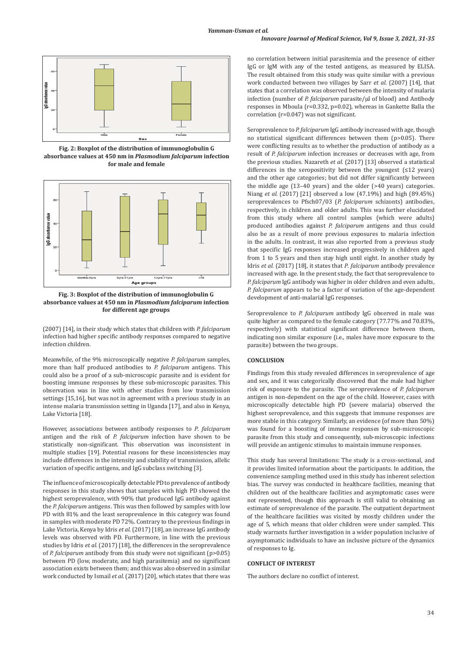## *Innovare Journal of Medical Science, Vol 9, Issue 3, 2021, 31-35*



**Fig. 2: Boxplot of the distribution of immunoglobulin G absorbance values at 450 nm in** *Plasmodium falciparum* **infection for male and female**



**Fig. 3: Boxplot of the distribution of immunoglobulin G absorbance values at 450 nm in** *Plasmodium falciparum* **infection for different age groups**

(2007) [14], in their study which states that children with *P. falciparum* infection had higher specific antibody responses compared to negative infection children.

Meanwhile, of the 9% microscopically negative *P. falciparum* samples, more than half produced antibodies to *P. falciparum* antigens. This could also be a proof of a sub-microscopic parasite and is evident for boosting immune responses by these sub-microscopic parasites. This observation was in line with other studies from low transmission settings [15,16], but was not in agreement with a previous study in an intense malaria transmission setting in Uganda [17], and also in Kenya, Lake Victoria [18].

However, associations between antibody responses to *P*. *falciparum* antigen and the risk of *P. falciparum* infection have shown to be statistically non-significant. This observation was inconsistent in multiple studies [19]. Potential reasons for these inconsistencies may include differences in the intensity and stability of transmission, allelic variation of specific antigens, and IgG subclass switching [3].

The influence of microscopically detectable PD to prevalence of antibody responses in this study shows that samples with high PD showed the highest seroprevalence, with 90% that produced IgG antibody against the *P. falciparum* antigens. This was then followed by samples with low PD with 81% and the least seroprevalence in this category was found in samples with moderate PD 72%. Contrary to the previous findings in Lake Victoria, Kenya by Idris *et al.* (2017) [18], an increase IgG antibody levels was observed with PD. Furthermore, in line with the previous studies by Idris *et al.* (2017) [18], the differences in the seroprevalence of *P. falciparum* antibody from this study were not significant (p>0.05) between PD (low, moderate, and high parasitemia) and no significant association exists between them; and this was also observed in a similar work conducted by Ismail *et al.* (2017) [20], which states that there was no correlation between initial parasitemia and the presence of either IgG or IgM with any of the tested antigens, as measured by ELISA. The result obtained from this study was quite similar with a previous work conducted between two villages by Sarr *et al.* (2007) [14], that states that a correlation was observed between the intensity of malaria infection (number of *P. falciparum* parasite/µl of blood) and Antibody responses in Mboula (r=0.332, p=0.02), whereas in Gankette Balla the correlation (r=0.047) was not significant.

Seroprevalence to *P. falciparum* IgG antibody increased with age, though no statistical significant differences between them (p>0.05). There were conflicting results as to whether the production of antibody as a result of *P. falciparum* infection increases or decreases with age, from the previous studies. Nazareth *et al.* (2017) [13] observed a statistical differences in the seropositivity between the youngest  $(≤12$  years) and the other age categories; but did not differ significantly between the middle age (13–40 years) and the older (>40 years) categories. Niang *et al.* (2017) [21] observed a low (47.19%) and high (89.45%) seroprevalences to Pfsch07/03 (*P. falciparum* schizonts) antibodies, respectively, in children and older adults. This was further elucidated from this study where all control samples (which were adults) produced antibodies against *P. falciparum* antigens and thus could also be as a result of more previous exposures to malaria infection in the adults. In contrast, it was also reported from a previous study that specific IgG responses increased progressively in children aged from 1 to 5 years and then stay high until eight. In another study by Idris *et al.* (2017) [18], it states that *P*. *falciparum* antibody prevalence increased with age. In the present study, the fact that seroprevalence to *P. falciparum* IgG antibody was higher in older children and even adults, *P. falciparum* appears to be a factor of variation of the age-dependent development of anti-malarial IgG responses.

Seroprevalence to *P. falciparum* antibody IgG observed in male was quite higher as compared to the female category (77.77% and 70.83%, respectively) with statistical significant difference between them, indicating non similar exposure (i.e.*,* males have more exposure to the parasite) between the two groups.

## **CONCLUSION**

Findings from this study revealed differences in seroprevalence of age and sex, and it was categorically discovered that the male had higher risk of exposure to the parasite. The seroprevalence of *P. falciparum*  antigen is non-dependent on the age of the child. However, cases with microscopically detectable high PD (severe malaria) observed the highest seroprevalence, and this suggests that immune responses are more stable in this category. Similarly, an evidence (of more than 50%) was found for a boosting of immune responses by sub-microscopic parasite from this study and consequently, sub-microscopic infections will provide an antigenic stimulus to maintain immune responses.

This study has several limitations: The study is a cross-sectional, and it provides limited information about the participants. In addition, the convenience sampling method used in this study has inherent selection bias. The survey was conducted in healthcare facilities, meaning that children out of the healthcare facilities and asymptomatic cases were not represented, though this approach is still valid to obtaining an estimate of seroprevalence of the parasite. The outpatient department of the healthcare facilities was visited by mostly children under the age of 5, which means that older children were under sampled. This study warrants further investigation in a wider population inclusive of asymptomatic individuals to have an inclusive picture of the dynamics of responses to Ig.

## **CONFLICT OF INTEREST**

The authors declare no conflict of interest.